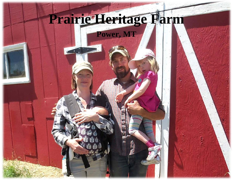## **Prairie Heritage Farm**

**Power, MT**